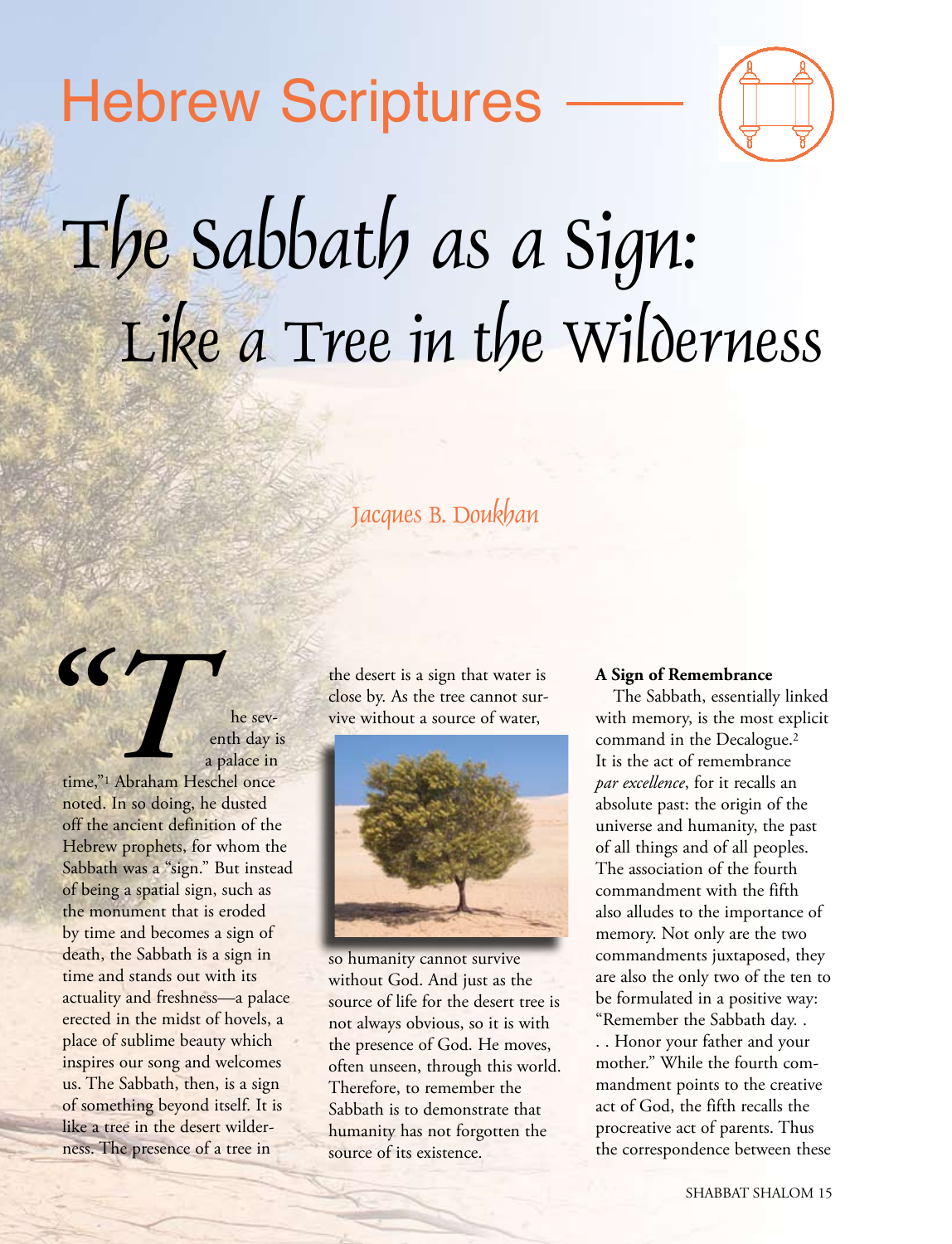# Hebrew Scriptures



# The Sabbath as a Sign: Like a Tree in the Wilderness

# Jacques B. Doukhan

he seventh day is a palace in

time,"1 Abraham Heschel once noted. In so doing, he dusted off the ancient definition of the Hebrew prophets, for whom the Sabbath was a "sign." But instead of being a spatial sign, such as the monument that is eroded by time and becomes a sign of death, the Sabbath is a sign in time and stands out with its actuality and freshness—a palace erected in the midst of hovels, a place of sublime beauty which inspires our song and welcomes us. The Sabbath, then, is a sign of something beyond itself. It is like a tree in the desert wilderness. The presence of a tree in

*"T*

the desert is a sign that water is close by. As the tree cannot survive without a source of water,



so humanity cannot survive without God. And just as the source of life for the desert tree is not always obvious, so it is with the presence of God. He moves, often unseen, through this world. Therefore, to remember the Sabbath is to demonstrate that humanity has not forgotten the source of its existence.

#### **A Sign of Remembrance**

The Sabbath, essentially linked with memory, is the most explicit command in the Decalogue.2 It is the act of remembrance *par excellence*, for it recalls an absolute past: the origin of the universe and humanity, the past of all things and of all peoples. The association of the fourth commandment with the fifth also alludes to the importance of memory. Not only are the two commandments juxtaposed, they are also the only two of the ten to be formulated in a positive way: "Remember the Sabbath day. . . . Honor your father and your mother." While the fourth commandment points to the creative

act of God, the fifth recalls the procreative act of parents. Thus the correspondence between these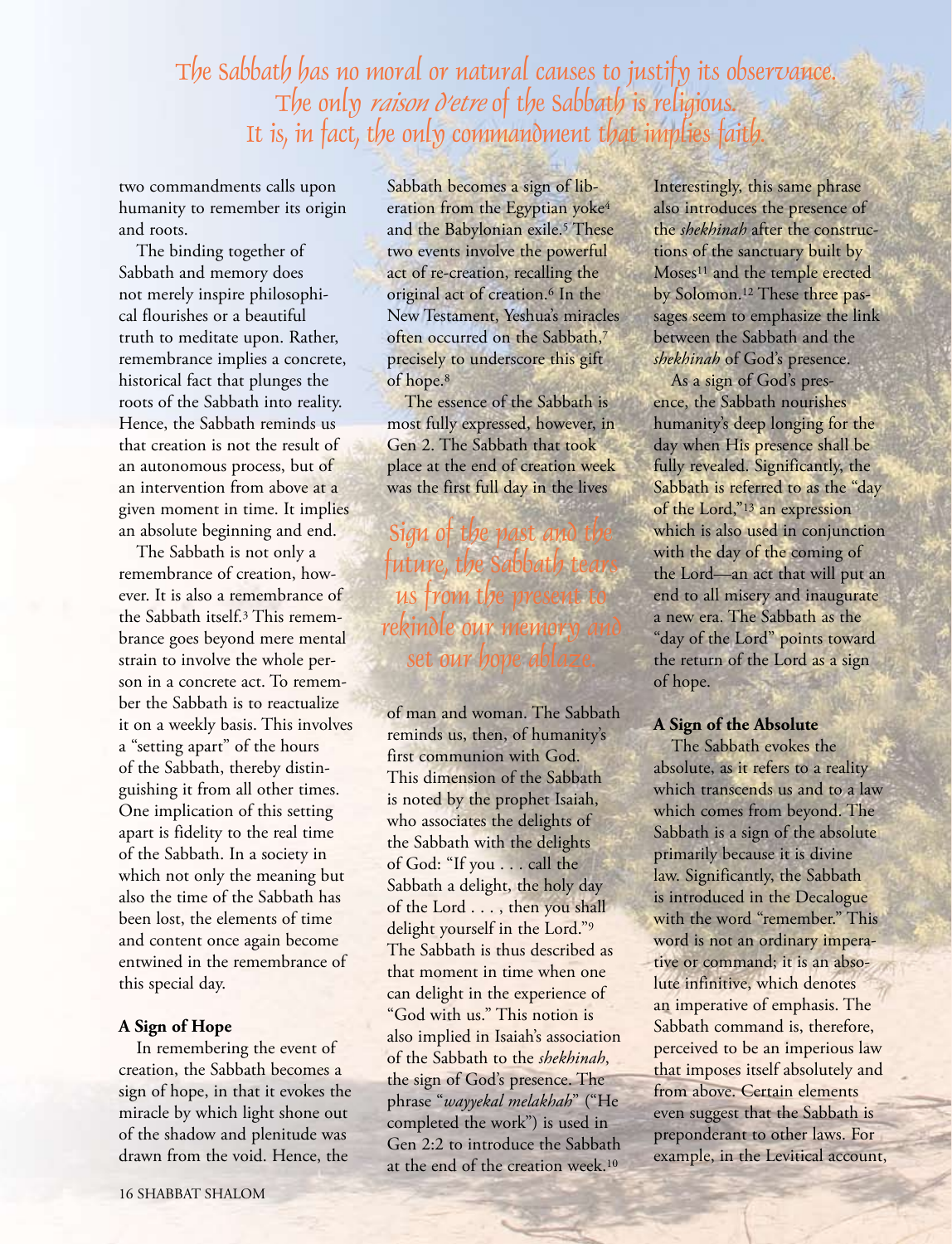The Sabbath has no moral or natural causes to justify its observance. The only *raison d'etre* of the Sabbath is religious. It is, in fact, the only commandment that implies faith.

two commandments calls upon humanity to remember its origin and roots.

The binding together of Sabbath and memory does not merely inspire philosophical flourishes or a beautiful truth to meditate upon. Rather, remembrance implies a concrete, historical fact that plunges the roots of the Sabbath into reality. Hence, the Sabbath reminds us that creation is not the result of an autonomous process, but of an intervention from above at a given moment in time. It implies an absolute beginning and end.

The Sabbath is not only a remembrance of creation, however. It is also a remembrance of the Sabbath itself.3 This remembrance goes beyond mere mental strain to involve the whole person in a concrete act. To remember the Sabbath is to reactualize it on a weekly basis. This involves a "setting apart" of the hours of the Sabbath, thereby distinguishing it from all other times. One implication of this setting apart is fidelity to the real time of the Sabbath. In a society in which not only the meaning but also the time of the Sabbath has been lost, the elements of time and content once again become entwined in the remembrance of this special day.

#### **A Sign of Hope**

In remembering the event of creation, the Sabbath becomes a sign of hope, in that it evokes the miracle by which light shone out of the shadow and plenitude was drawn from the void. Hence, the

Sabbath becomes a sign of liberation from the Egyptian yoke<sup>4</sup> and the Babylonian exile.<sup>5</sup> These two events involve the powerful act of re-creation, recalling the original act of creation.6 In the New Testament, Yeshua's miracles often occurred on the Sabbath.<sup>7</sup> precisely to underscore this gift of hope.8

The essence of the Sabbath is most fully expressed, however, in Gen 2. The Sabbath that took place at the end of creation week was the first full day in the lives

Sign of the past and future, the Sabbath te us from the present rekindle our memor set our hope ab

of man and woman. The Sabbath reminds us, then, of humanity's first communion with God. This dimension of the Sabbath is noted by the prophet Isaiah, who associates the delights of the Sabbath with the delights of God: "If you . . . call the Sabbath a delight, the holy day of the Lord . . . , then you shall delight yourself in the Lord."9 The Sabbath is thus described as that moment in time when one can delight in the experience of "God with us." This notion is also implied in Isaiah's association of the Sabbath to the *shekhinah*, the sign of God's presence. The phrase "*wayyekal melakhah*" ("He completed the work") is used in Gen 2:2 to introduce the Sabbath at the end of the creation week.<sup>10</sup>

Interestingly, this same phrase also introduces the presence of the *shekhinah* after the constructions of the sanctuary built by Moses<sup>11</sup> and the temple erected by Solomon.12 These three passages seem to emphasize the link between the Sabbath and the *shekhinah* of God's presence.

As a sign of God's presence, the Sabbath nourishes humanity's deep longing for the day when His presence shall be fully revealed. Significantly, the Sabbath is referred to as the "day of the Lord,"13 an expression which is also used in conjunction with the day of the coming of the Lord—an act that will put an end to all misery and inaugurate a new era. The Sabbath as the "day of the Lord" points toward the return of the Lord as a sign of hope.

#### **A Sign of the Absolute**

The Sabbath evokes the absolute, as it refers to a reality which transcends us and to a law which comes from beyond. The Sabbath is a sign of the absolute primarily because it is divine law. Significantly, the Sabbath is introduced in the Decalogue with the word "remember." This word is not an ordinary imperative or command; it is an absolute infinitive, which denotes an imperative of emphasis. The Sabbath command is, therefore, perceived to be an imperious law that imposes itself absolutely and from above. Certain elements even suggest that the Sabbath is preponderant to other laws. For example, in the Levitical account,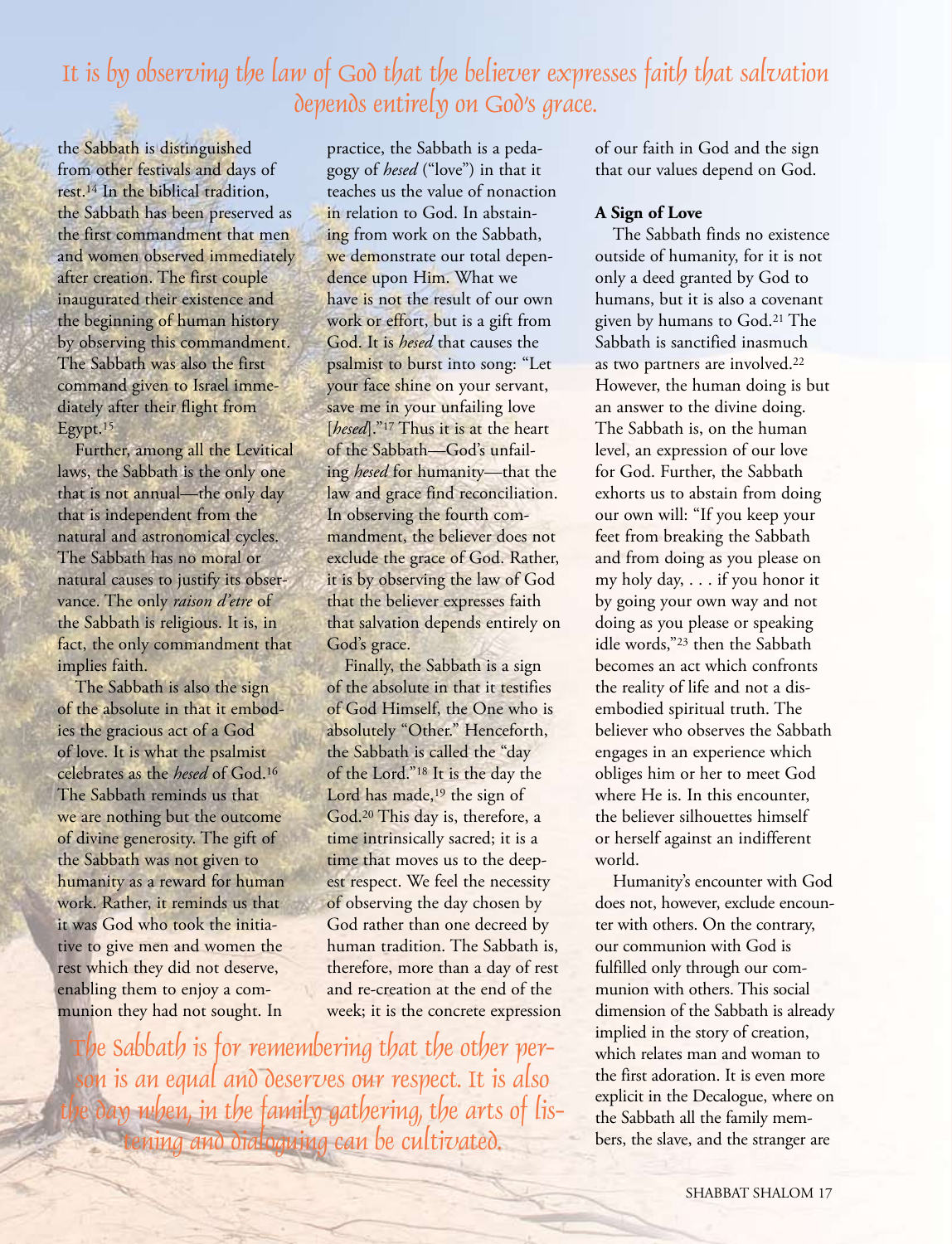## It is by observing the law of God that the believer expresses faith that salvation depends entirely on God's grace.

the Sabbath is distinguished from other festivals and days of rest.14 In the biblical tradition, the Sabbath has been preserved as the first commandment that men and women observed immediately after creation. The first couple inaugurated their existence and the beginning of human history by observing this commandment. The Sabbath was also the first command given to Israel immediately after their flight from Egypt.15

Further, among all the Levitical laws, the Sabbath is the only one that is not annual—the only day that is independent from the natural and astronomical cycles. The Sabbath has no moral or natural causes to justify its observance. The only *raison d'etre* of the Sabbath is religious. It is, in fact, the only commandment that implies faith.

The Sabbath is also the sign of the absolute in that it embodies the gracious act of a God of love. It is what the psalmist celebrates as the *hesed* of God.16 The Sabbath reminds us that we are nothing but the outcome of divine generosity. The gift of the Sabbath was not given to humanity as a reward for human work. Rather, it reminds us that it was God who took the initiative to give men and women the rest which they did not deserve, enabling them to enjoy a communion they had not sought. In

practice, the Sabbath is a pedagogy of *hesed* ("love") in that it teaches us the value of nonaction in relation to God. In abstaining from work on the Sabbath, we demonstrate our total dependence upon Him. What we have is not the result of our own work or effort, but is a gift from God. It is *hesed* that causes the psalmist to burst into song: "Let your face shine on your servant, save me in your unfailing love [*hesed*]."<sup>17</sup> Thus it is at the heart of the Sabbath—God's unfailing *hesed* for humanity—that the law and grace find reconciliation. In observing the fourth commandment, the believer does not exclude the grace of God. Rather, it is by observing the law of God that the believer expresses faith that salvation depends entirely on God's grace.

Finally, the Sabbath is a sign of the absolute in that it testifies of God Himself, the One who is absolutely "Other." Henceforth, the Sabbath is called the "day of the Lord."18 It is the day the Lord has made,<sup>19</sup> the sign of God.20 This day is, therefore, a time intrinsically sacred; it is a time that moves us to the deepest respect. We feel the necessity of observing the day chosen by God rather than one decreed by human tradition. The Sabbath is, therefore, more than a day of rest and re-creation at the end of the week; it is the concrete expression

The Sabbath is for remembering that the other person is an equal and deserves our respect. It is also the day when, in the family gathering, the arts of listening and dialoguing can be cultivated.

of our faith in God and the sign that our values depend on God.

#### **A Sign of Love**

The Sabbath finds no existence outside of humanity, for it is not only a deed granted by God to humans, but it is also a covenant given by humans to God.21 The Sabbath is sanctified inasmuch as two partners are involved.<sup>22</sup> However, the human doing is but an answer to the divine doing. The Sabbath is, on the human level, an expression of our love for God. Further, the Sabbath exhorts us to abstain from doing our own will: "If you keep your feet from breaking the Sabbath and from doing as you please on my holy day, . . . if you honor it by going your own way and not doing as you please or speaking idle words,"23 then the Sabbath becomes an act which confronts the reality of life and not a disembodied spiritual truth. The believer who observes the Sabbath engages in an experience which obliges him or her to meet God where He is. In this encounter, the believer silhouettes himself or herself against an indifferent world.

Humanity's encounter with God does not, however, exclude encounter with others. On the contrary, our communion with God is fulfilled only through our communion with others. This social dimension of the Sabbath is already implied in the story of creation, which relates man and woman to the first adoration. It is even more explicit in the Decalogue, where on the Sabbath all the family members, the slave, and the stranger are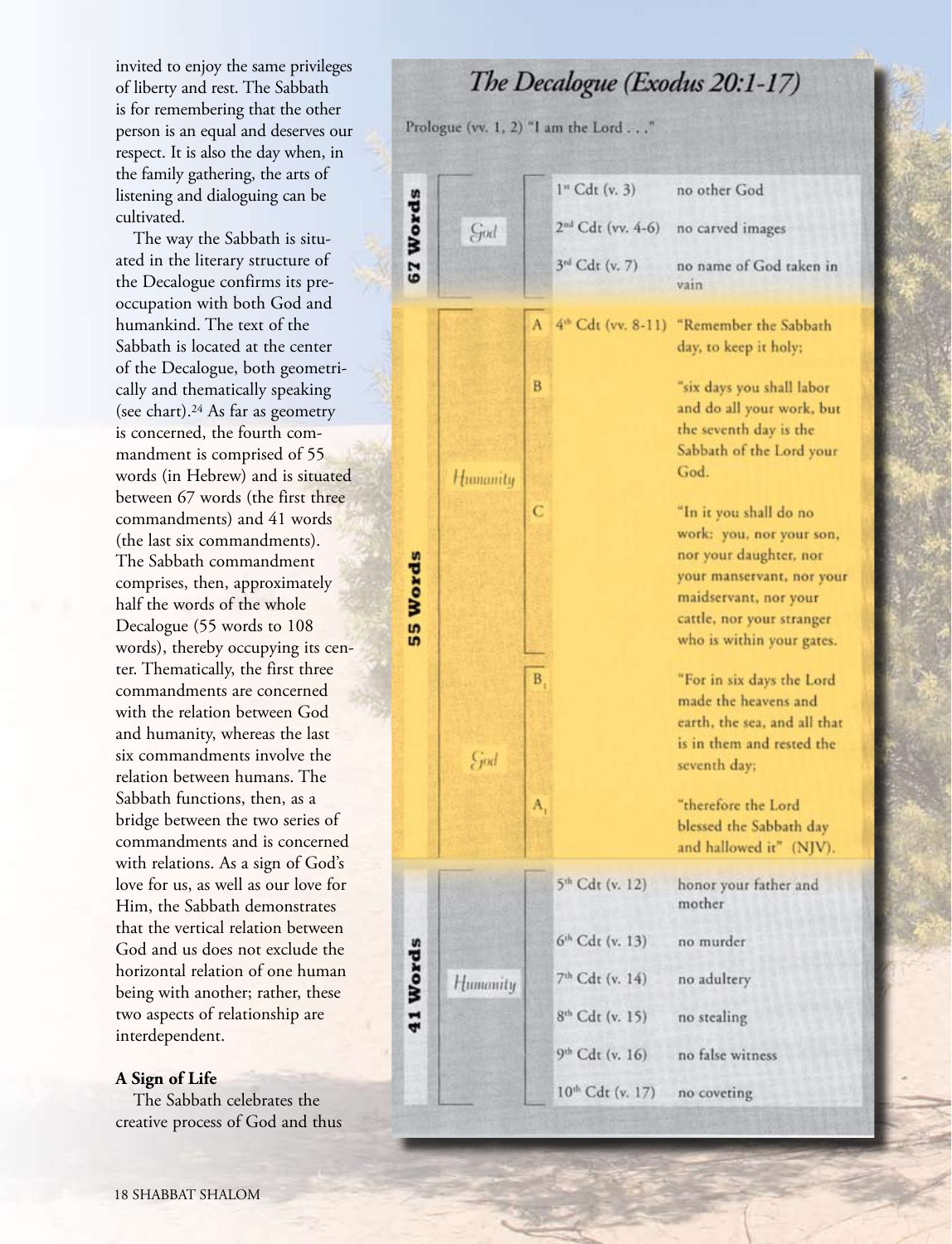invited to enjoy the same privileges of liberty and rest. The Sabbath is for remembering that the other person is an equal and deserves our respect. It is also the day when, in the family gathering, the arts of listening and dialoguing can be cultivated.

The way the Sabbath is situated in the literary structure of the Decalogue confirms its preoccupation with both God and humankind. The text of the Sabbath is located at the center of the Decalogue, both geometrically and thematically speaking (see chart).24 As far as geometry is concerned, the fourth commandment is comprised of 55 words (in Hebrew) and is situated between 67 words (the first three commandments) and 41 words (the last six commandments). The Sabbath commandment comprises, then, approximately half the words of the whole Decalogue (55 words to 108 words), thereby occupying its center. Thematically, the first three commandments are concerned with the relation between God and humanity, whereas the last six commandments involve the relation between humans. The Sabbath functions, then, as a bridge between the two series of commandments and is concerned with relations. As a sign of God's love for us, as well as our love for Him, the Sabbath demonstrates that the vertical relation between God and us does not exclude the horizontal relation of one human being with another; rather, these two aspects of relationship are interdependent.

#### **A Sign of Life**

The Sabbath celebrates the creative process of God and thus The Decalogue (Exodus 20:1-17)

Prologue (vv. 1, 2) "I am the Lord . . ."

|                 |          |          | 1" Cdt (v. 3)                 | no other God                                                                                                                                                                                 |
|-----------------|----------|----------|-------------------------------|----------------------------------------------------------------------------------------------------------------------------------------------------------------------------------------------|
| 67 Words        | God      |          | 2 <sup>nd</sup> Cdt (vv. 4-6) | no carved images                                                                                                                                                                             |
|                 |          |          | 3rd Cdt (v. 7)                | no name of God taken in<br>vain                                                                                                                                                              |
| <b>SS Words</b> | Humanity | в        | 4th Cdt (vv. 8-11)            | "Remember the Sabbath<br>day, to keep it holy;<br>"six days you shall labor<br>and do all your work, but                                                                                     |
|                 |          |          |                               | the seventh day is the<br>Sabbath of the Lord your<br>God.                                                                                                                                   |
|                 |          | C        |                               | "In it you shall do no<br>work: you, nor your son,<br>nor your daughter, nor<br>your manservant, nor your<br>maidservant, nor your<br>cattle, nor your stranger<br>who is within your gates. |
|                 | God      | B,<br>A, |                               | "For in six days the Lord<br>made the heavens and<br>earth, the sea, and all that<br>is in them and rested the<br>seventh day;<br>"therefore the Lord                                        |
|                 |          |          |                               | blessed the Sabbath day<br>and hallowed it" (NJV).                                                                                                                                           |
| 41 Words        | Humanity |          | 5 <sup>th</sup> Cdt (v. 12)   | honor your father and<br>mother                                                                                                                                                              |
|                 |          |          | 6th Cdt (v. 13)               | no murder                                                                                                                                                                                    |
|                 |          |          | 7th Cdt (v. 14)               | no adultery                                                                                                                                                                                  |
|                 |          |          | 8 <sup>th</sup> Cdt (v. 15)   | no stealing                                                                                                                                                                                  |
|                 |          |          | 9th Cdt (v. 16)               | no false witness                                                                                                                                                                             |
|                 |          |          | 10 <sup>th</sup> Cdt (v. 17)  | no coveting                                                                                                                                                                                  |